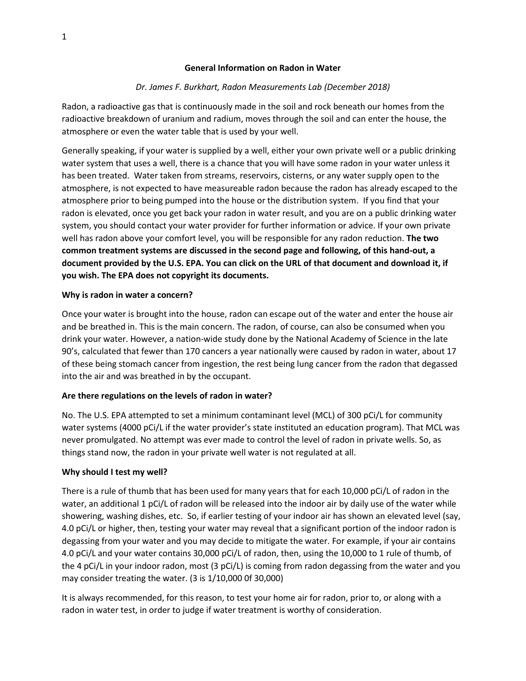## **General Information on Radon in Water**

# *Dr. James F. Burkhart, Radon Measurements Lab (December 2018)*

Radon, a radioactive gas that is continuously made in the soil and rock beneath our homes from the radioactive breakdown of uranium and radium, moves through the soil and can enter the house, the atmosphere or even the water table that is used by your well.

Generally speaking, if your water is supplied by a well, either your own private well or a public drinking water system that uses a well, there is a chance that you will have some radon in your water unless it has been treated. Water taken from streams, reservoirs, cisterns, or any water supply open to the atmosphere, is not expected to have measureable radon because the radon has already escaped to the atmosphere prior to being pumped into the house or the distribution system. If you find that your radon is elevated, once you get back your radon in water result, and you are on a public drinking water system, you should contact your water provider for further information or advice. If your own private well has radon above your comfort level, you will be responsible for any radon reduction. **The two common treatment systems are discussed in the second page and following, of this hand-out, a document provided by the U.S. EPA. You can click on the URL of that document and download it, if you wish. The EPA does not copyright its documents.**

## **Why is radon in water a concern?**

Once your water is brought into the house, radon can escape out of the water and enter the house air and be breathed in. This is the main concern. The radon, of course, can also be consumed when you drink your water. However, a nation-wide study done by the National Academy of Science in the late 90's, calculated that fewer than 170 cancers a year nationally were caused by radon in water, about 17 of these being stomach cancer from ingestion, the rest being lung cancer from the radon that degassed into the air and was breathed in by the occupant.

# **Are there regulations on the levels of radon in water?**

No. The U.S. EPA attempted to set a minimum contaminant level (MCL) of 300 pCi/L for community water systems (4000 pCi/L if the water provider's state instituted an education program). That MCL was never promulgated. No attempt was ever made to control the level of radon in private wells. So, as things stand now, the radon in your private well water is not regulated at all.

# **Why should I test my well?**

There is a rule of thumb that has been used for many years that for each 10,000 pCi/L of radon in the water, an additional 1 pCi/L of radon will be released into the indoor air by daily use of the water while showering, washing dishes, etc. So, if earlier testing of your indoor air has shown an elevated level (say, 4.0 pCi/L or higher, then, testing your water may reveal that a significant portion of the indoor radon is degassing from your water and you may decide to mitigate the water. For example, if your air contains 4.0 pCi/L and your water contains 30,000 pCi/L of radon, then, using the 10,000 to 1 rule of thumb, of the 4 pCi/L in your indoor radon, most (3 pCi/L) is coming from radon degassing from the water and you may consider treating the water. (3 is 1/10,000 0f 30,000)

It is always recommended, for this reason, to test your home air for radon, prior to, or along with a radon in water test, in order to judge if water treatment is worthy of consideration.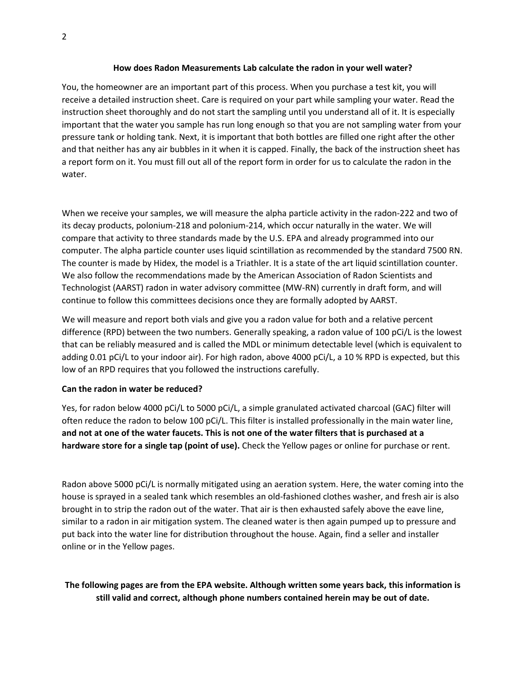#### **How does Radon Measurements Lab calculate the radon in your well water?**

You, the homeowner are an important part of this process. When you purchase a test kit, you will receive a detailed instruction sheet. Care is required on your part while sampling your water. Read the instruction sheet thoroughly and do not start the sampling until you understand all of it. It is especially important that the water you sample has run long enough so that you are not sampling water from your pressure tank or holding tank. Next, it is important that both bottles are filled one right after the other and that neither has any air bubbles in it when it is capped. Finally, the back of the instruction sheet has a report form on it. You must fill out all of the report form in order for us to calculate the radon in the water.

When we receive your samples, we will measure the alpha particle activity in the radon-222 and two of its decay products, polonium-218 and polonium-214, which occur naturally in the water. We will compare that activity to three standards made by the U.S. EPA and already programmed into our computer. The alpha particle counter uses liquid scintillation as recommended by the standard 7500 RN. The counter is made by Hidex, the model is a Triathler. It is a state of the art liquid scintillation counter. We also follow the recommendations made by the American Association of Radon Scientists and Technologist (AARST) radon in water advisory committee (MW-RN) currently in draft form, and will continue to follow this committees decisions once they are formally adopted by AARST.

We will measure and report both vials and give you a radon value for both and a relative percent difference (RPD) between the two numbers. Generally speaking, a radon value of 100 pCi/L is the lowest that can be reliably measured and is called the MDL or minimum detectable level (which is equivalent to adding 0.01 pCi/L to your indoor air). For high radon, above 4000 pCi/L, a 10 % RPD is expected, but this low of an RPD requires that you followed the instructions carefully.

## **Can the radon in water be reduced?**

Yes, for radon below 4000 pCi/L to 5000 pCi/L, a simple granulated activated charcoal (GAC) filter will often reduce the radon to below 100 pCi/L. This filter is installed professionally in the main water line, **and not at one of the water faucets. This is not one of the water filters that is purchased at a hardware store for a single tap (point of use).** Check the Yellow pages or online for purchase or rent.

Radon above 5000 pCi/L is normally mitigated using an aeration system. Here, the water coming into the house is sprayed in a sealed tank which resembles an old-fashioned clothes washer, and fresh air is also brought in to strip the radon out of the water. That air is then exhausted safely above the eave line, similar to a radon in air mitigation system. The cleaned water is then again pumped up to pressure and put back into the water line for distribution throughout the house. Again, find a seller and installer online or in the Yellow pages.

**The following pages are from the EPA website. Although written some years back, this information is still valid and correct, although phone numbers contained herein may be out of date.**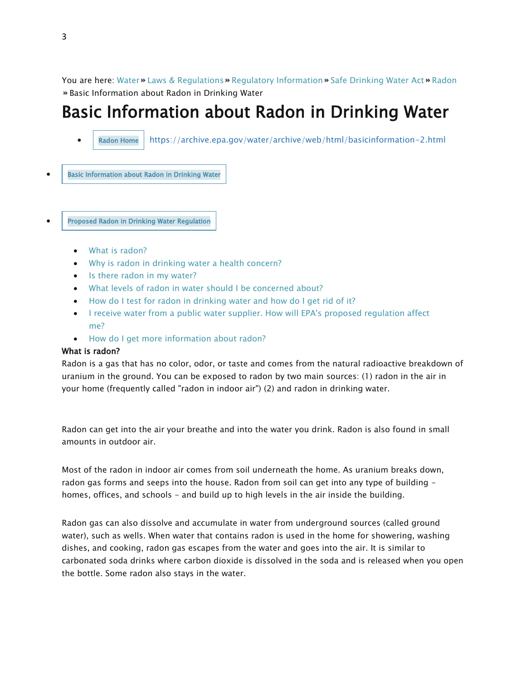You are here: [Water](https://water.epa.gov/) » [Laws & Regulations](https://water.epa.gov/lawsregs/) » [Regulatory Information](https://water.epa.gov/lawsregs/rulesregs/) » [Safe Drinking Water Act](https://water.epa.gov/lawsregs/rulesregs/sdwa/) » [Radon](https://water.epa.gov/lawsregs/rulesregs/sdwa/radon/) Basic Information about Radon in Drinking Water

# Basic Information about Radon in Drinking Water

• [Radon Home](https://archive.epa.gov/water/archive/web/html/index-9.html) https://archive.epa.gov/water/archive/web/html/basicinformation-2.html

- **Basic Information about Radon in Drinking Water**
- [Proposed Radon in Drinking Water Regulation](https://archive.epa.gov/water/archive/web/html/regulations.html)
	- [What is radon?](https://archive.epa.gov/water/archive/web/html/basicinformation-2.html#What%20is%20radon?)
	- [Why is radon in drinking water a health concern?](https://archive.epa.gov/water/archive/web/html/basicinformation-2.html#Why%20is%20radon%20in%20drinking%20water%20a%20health%20concern?)
	- [Is there radon in my water?](https://archive.epa.gov/water/archive/web/html/basicinformation-2.html#Is%20there%20radon%20in%20my%20water?)
	- [What levels of radon in water should I be concerned about?](https://archive.epa.gov/water/archive/web/html/basicinformation-2.html#What%20levels%20of%20radon%20in%20water%20should%20I%20be%20concerned%20about?)
	- [How do I test for radon in drinking water and how do I get rid of it?](https://archive.epa.gov/water/archive/web/html/basicinformation-2.html#How%20do%20I%20test%20for%20radon%20in%20drinking%20water%20and%20how%20do%20I%20get%20rid%20of%20it?)
	- [I receive water from a public water supplier. How will EPA's proposed regulation affect](https://archive.epa.gov/water/archive/web/html/basicinformation-2.html#I%20receive%20water%20from%20a%20public%20water%20supplier.%20How%20will%20EPA)  [me?](https://archive.epa.gov/water/archive/web/html/basicinformation-2.html#I%20receive%20water%20from%20a%20public%20water%20supplier.%20How%20will%20EPA)
	- [How do I get more information about radon?](https://archive.epa.gov/water/archive/web/html/basicinformation-2.html#How%20do%20I%20get%20more%20information%20about%20radon?)

## What is radon?

Radon is a gas that has no color, odor, or taste and comes from the natural radioactive breakdown of uranium in the ground. You can be exposed to radon by two main sources: (1) radon in the air in your home (frequently called "radon in indoor air") (2) and radon in drinking water.

Radon can get into the air your breathe and into the water you drink. Radon is also found in small amounts in outdoor air.

Most of the radon in indoor air comes from soil underneath the home. As uranium breaks down, radon gas forms and seeps into the house. Radon from soil can get into any type of building homes, offices, and schools - and build up to high levels in the air inside the building.

Radon gas can also dissolve and accumulate in water from underground sources (called ground water), such as wells. When water that contains radon is used in the home for showering, washing dishes, and cooking, radon gas escapes from the water and goes into the air. It is similar to carbonated soda drinks where carbon dioxide is dissolved in the soda and is released when you open the bottle. Some radon also stays in the water.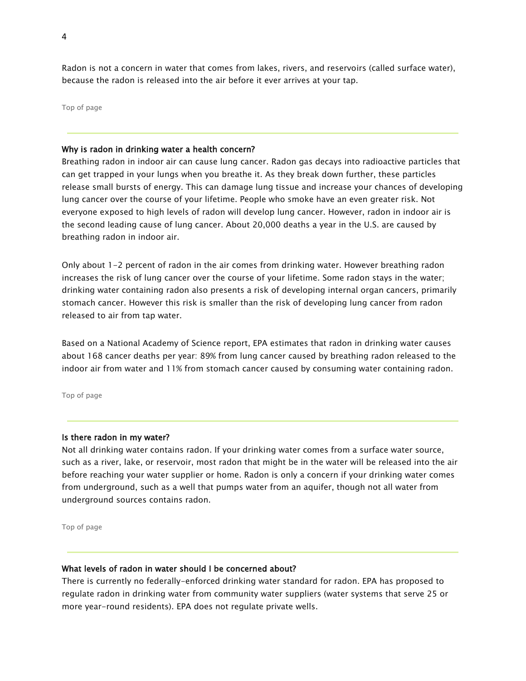Radon is not a concern in water that comes from lakes, rivers, and reservoirs (called surface water), because the radon is released into the air before it ever arrives at your tap.

[Top of page](https://archive.epa.gov/water/archive/web/html/basicinformation-2.html#content)

#### Why is radon in drinking water a health concern?

Breathing radon in indoor air can cause lung cancer. Radon gas decays into radioactive particles that can get trapped in your lungs when you breathe it. As they break down further, these particles release small bursts of energy. This can damage lung tissue and increase your chances of developing lung cancer over the course of your lifetime. People who smoke have an even greater risk. Not everyone exposed to high levels of radon will develop lung cancer. However, radon in indoor air is the second leading cause of lung cancer. About 20,000 deaths a year in the U.S. are caused by breathing radon in indoor air.

Only about 1-2 percent of radon in the air comes from drinking water. However breathing radon increases the risk of lung cancer over the course of your lifetime. Some radon stays in the water; drinking water containing radon also presents a risk of developing internal organ cancers, primarily stomach cancer. However this risk is smaller than the risk of developing lung cancer from radon released to air from tap water.

Based on a National Academy of Science report, EPA estimates that radon in drinking water causes about 168 cancer deaths per year: 89% from lung cancer caused by breathing radon released to the indoor air from water and 11% from stomach cancer caused by consuming water containing radon.

[Top of page](https://archive.epa.gov/water/archive/web/html/basicinformation-2.html#content)

#### Is there radon in my water?

Not all drinking water contains radon. If your drinking water comes from a surface water source, such as a river, lake, or reservoir, most radon that might be in the water will be released into the air before reaching your water supplier or home. Radon is only a concern if your drinking water comes from underground, such as a well that pumps water from an aquifer, though not all water from underground sources contains radon.

[Top of page](https://archive.epa.gov/water/archive/web/html/basicinformation-2.html#content)

## What levels of radon in water should I be concerned about?

There is currently no federally-enforced drinking water standard for radon. EPA has proposed to regulate radon in drinking water from community water suppliers (water systems that serve 25 or more year-round residents). EPA does not regulate private wells.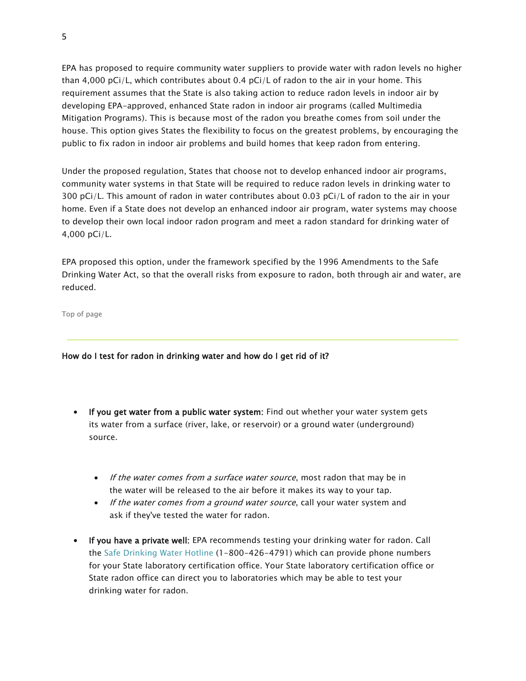EPA has proposed to require community water suppliers to provide water with radon levels no higher than 4,000 pCi/L, which contributes about 0.4 pCi/L of radon to the air in your home. This requirement assumes that the State is also taking action to reduce radon levels in indoor air by developing EPA-approved, enhanced State radon in indoor air programs (called Multimedia Mitigation Programs). This is because most of the radon you breathe comes from soil under the house. This option gives States the flexibility to focus on the greatest problems, by encouraging the public to fix radon in indoor air problems and build homes that keep radon from entering.

Under the proposed regulation, States that choose not to develop enhanced indoor air programs, community water systems in that State will be required to reduce radon levels in drinking water to 300 pCi/L. This amount of radon in water contributes about 0.03 pCi/L of radon to the air in your home. Even if a State does not develop an enhanced indoor air program, water systems may choose to develop their own local indoor radon program and meet a radon standard for drinking water of 4,000 pCi/L.

EPA proposed this option, under the framework specified by the 1996 Amendments to the Safe Drinking Water Act, so that the overall risks from exposure to radon, both through air and water, are reduced.

[Top of page](https://archive.epa.gov/water/archive/web/html/basicinformation-2.html#content)

How do I test for radon in drinking water and how do I get rid of it?

- If you get water from a public water system: Find out whether your water system gets its water from a surface (river, lake, or reservoir) or a ground water (underground) source.
	- If the water comes from a surface water source, most radon that may be in the water will be released to the air before it makes its way to your tap.
	- If the water comes from a ground water source, call your water system and ask if they've tested the water for radon.
- If you have a private well: EPA recommends testing your drinking water for radon. Call the [Safe Drinking Water Hotline](https://water.epa.gov/drink/hotline/index.cfm) (1-800-426-4791) which can provide phone numbers for your State laboratory certification office. Your State laboratory certification office or State radon office can direct you to laboratories which may be able to test your drinking water for radon.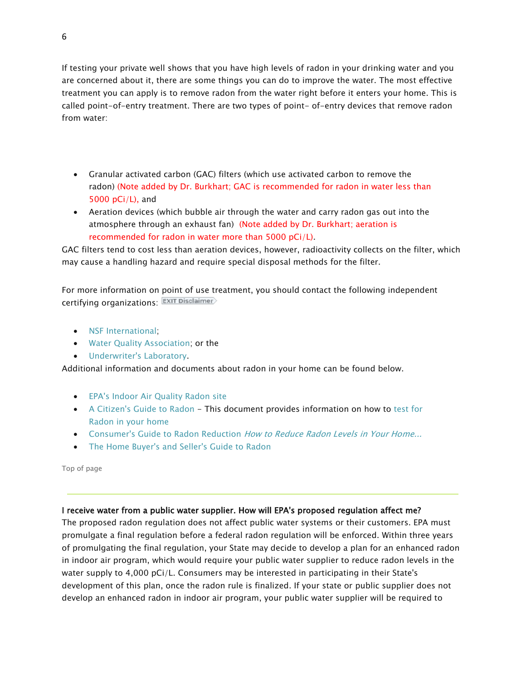If testing your private well shows that you have high levels of radon in your drinking water and you are concerned about it, there are some things you can do to improve the water. The most effective treatment you can apply is to remove radon from the water right before it enters your home. This is called point-of-entry treatment. There are two types of point- of-entry devices that remove radon from water:

- Granular activated carbon (GAC) filters (which use activated carbon to remove the radon) (Note added by Dr. Burkhart; GAC is recommended for radon in water less than 5000  $pCi/L$ , and
- Aeration devices (which bubble air through the water and carry radon gas out into the atmosphere through an exhaust fan) (Note added by Dr. Burkhart; aeration is recommended for radon in water more than 5000 pCi/L).

GAC filters tend to cost less than aeration devices, however, radioactivity collects on the filter, which may cause a handling hazard and require special disposal methods for the filter.

For more information on point of use treatment, you should contact the following independent certifying organizations:

- [NSF International;](http://www.nsf.org/Certified/dwtu/)
- [Water Quality Association;](http://www.wqa.org/sitelogic.cfm?id=1165§ion=3) or the
- [Underwriter's Laboratory.](http://www.ul.com/global/eng/pages/offerings/industries/waterandfood/water/prodcert/units/)

Additional information and documents about radon in your home can be found below.

- [EPA's Indoor Air Quality Radon site](https://www.epa.gov/radon)
- [A Citizen's Guide to Radon](https://www.epa.gov/radon/pubs/citguide.html) This document provides information on how to [test for](https://www.epa.gov/radon/pubs/citguide.html#howtotest)  [Radon in your home](https://www.epa.gov/radon/pubs/citguide.html#howtotest)
- [Consumer's Guide to Radon Reduction](https://www.epa.gov/radon/pubs/consguid.html) How to Reduce Radon Levels in Your Home...
- [The Home Buyer's and Seller's Guide to Radon](https://www.epa.gov/radon/pubs/hmbyguid.html)

[Top of page](https://archive.epa.gov/water/archive/web/html/basicinformation-2.html#content)

# I receive water from a public water supplier. How will EPA's proposed regulation affect me?

The proposed radon regulation does not affect public water systems or their customers. EPA must promulgate a final regulation before a federal radon regulation will be enforced. Within three years of promulgating the final regulation, your State may decide to develop a plan for an enhanced radon in indoor air program, which would require your public water supplier to reduce radon levels in the water supply to 4,000 pCi/L. Consumers may be interested in participating in their State's development of this plan, once the radon rule is finalized. If your state or public supplier does not develop an enhanced radon in indoor air program, your public water supplier will be required to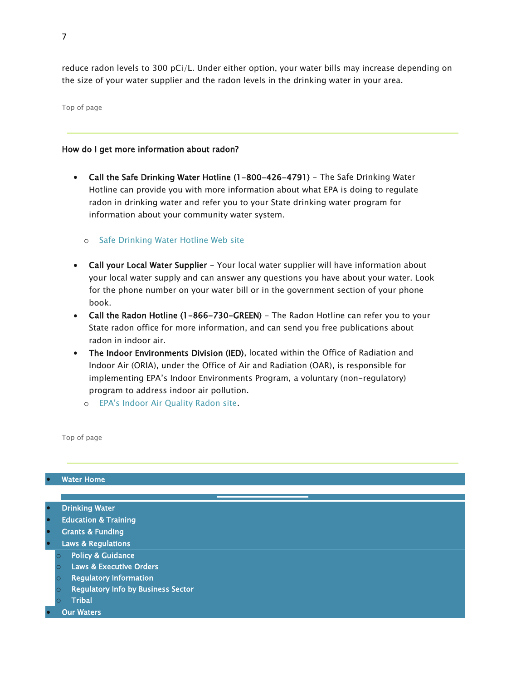reduce radon levels to 300 pCi/L. Under either option, your water bills may increase depending on the size of your water supplier and the radon levels in the drinking water in your area.

[Top of page](https://archive.epa.gov/water/archive/web/html/basicinformation-2.html#content)

## How do I get more information about radon?

• Call the Safe Drinking Water Hotline (1-800-426-4791) - The Safe Drinking Water Hotline can provide you with more information about what EPA is doing to regulate radon in drinking water and refer you to your State drinking water program for information about your community water system.

#### o [Safe Drinking Water Hotline Web site](https://water.epa.gov/drink/hotline/index.cfm)

- Call your Local Water Supplier Your local water supplier will have information about your local water supply and can answer any questions you have about your water. Look for the phone number on your water bill or in the government section of your phone book.
- Call the Radon Hotline (1-866-730-GREEN) The Radon Hotline can refer you to your State radon office for more information, and can send you free publications about radon in indoor air.
- The Indoor Environments Division (IED), located within the Office of Radiation and Indoor Air (ORIA), under the Office of Air and Radiation (OAR), is responsible for implementing EPA's Indoor Environments Program, a voluntary (non-regulatory) program to address indoor air pollution.
	- o [EPA's Indoor Air Quality Radon site.](https://www.epa.gov/radon)

[Top of page](https://archive.epa.gov/water/archive/web/html/basicinformation-2.html#content)

#### **[Water Home](https://water.epa.gov/)**

- **[Drinking Water](https://water.epa.gov/drink/)**
- [Education & Training](https://water.epa.gov/learn/)
- [Grants & Funding](https://water.epa.gov/grants_funding/)
- [Laws & Regulations](https://water.epa.gov/lawsregs/)
- o [Policy & Guidance](https://water.epa.gov/lawsregs/guidance/)
- o [Laws & Executive Orders](https://water.epa.gov/lawsregs/lawsguidance/)
- o [Regulatory Information](https://water.epa.gov/lawsregs/rulesregs/)
- o [Regulatory Info by Business Sector](https://water.epa.gov/lawsregs/reginfo/)
- o [Tribal](https://water.epa.gov/lawsregs/tribal/)
- **[Our Waters](https://water.epa.gov/type/)**